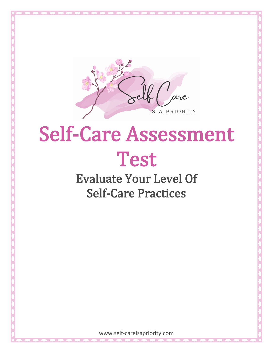

# Self-Care Assessment Test<br>Evaluate Your Level Of

Self-Care Practices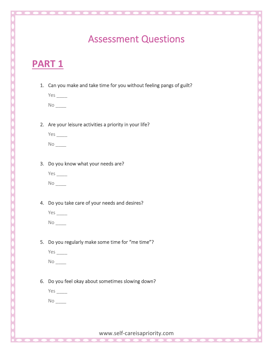## Assessment Questions

## **PART 1**

1. Can you make and take time for you without feeling pangs of guilt?

Yes \_\_\_\_  $No$   $\_\_$ 

2. Are your leisure activities a priority in your life?

| Yes |  |
|-----|--|
| Nο  |  |

3. Do you know what your needs are?

 $No$   $\qquad$ 

4. Do you take care of your needs and desires?

Yes \_\_\_\_

 $No$   $\_\_$ 

5. Do you regularly make some time for "me time"?

Yes \_\_\_\_

 $No$   $\_\_$ 

6. Do you feel okay about sometimes slowing down?

Yes \_\_\_\_

 $No$   $\qquad$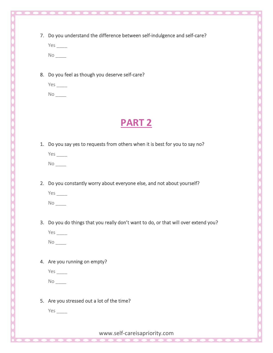7. Do you understand the difference between self-indulgence and self-care?

| Yρς    |  |
|--------|--|
| N<br>∩ |  |

8. Do you feel as though you deserve self-care?

| Yes     |  |
|---------|--|
| N.<br>O |  |

### **PART 2**

1. Do you say yes to requests from others when it is best for you to say no?

| Υ<br>ES        |  |
|----------------|--|
| N<br>$\lambda$ |  |

2. Do you constantly worry about everyone else, and not about yourself?

| US |  |
|----|--|
| ٦  |  |

3. Do you do things that you really don't want to do, or that will over extend you?

 $No$   $\qquad$ 

- 4. Are you running on empty?
	- Yes \_\_\_\_

 $No$   $\_\_$ 

5. Are you stressed out a lot of the time?

Yes \_\_\_\_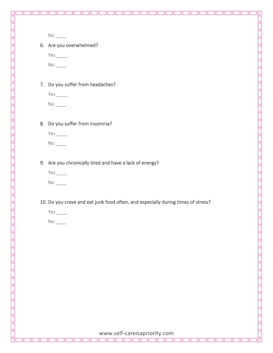$No$   $\qquad$ 

6. Are you overwhelmed?

Yes \_\_\_\_  $No$   $\_\_$ 

7. Do you suffer from headaches?

 $No$   $\qquad$ 

8. Do you suffer from insomnia?

 $No$   $\qquad$ 

9. Are you chronically tired and have a lack of energy?



 $No$   $\_\_$ 

- 10. Do you crave and eat junk food often, and especially during times of stress?
	- Yes \_\_\_\_

 $No$   $\qquad$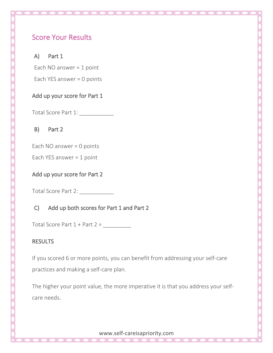#### Score Your Results

#### A) Part 1

Each NO answer = 1 point

Each YES answer = 0 points

#### Add up your score for Part 1

Total Score Part 1:

B) Part 2

Each NO answer = 0 points

Each YES answer = 1 point

#### Add up your score for Part 2

Total Score Part 2:

#### C) Add up both scores for Part 1 and Part 2

Total Score Part  $1 +$  Part  $2 =$ 

#### RESULTS

If you scored 6 or more points, you can benefit from addressing your self-care practices and making a self-care plan.

The higher your point value, the more imperative it is that you address your selfcare needs.